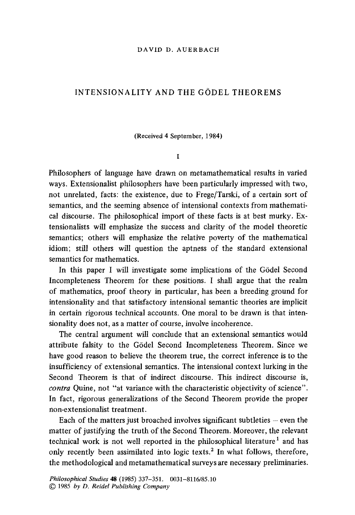## DAVID D. AUERBACH

# INTENSIONALITY AND THE GODEL THEOREMS

(Received 4 September, 1984)

**I** 

Philosophers of language have drawn on metamathematical results in varied ways. Extensionalist philosophers have been particularly impressed with two, not unrelated, facts: the existence, due to Frege/Tarski, of a certain sort of semantics, and the seeming absence of intensional contexts from mathematical discourse. The philosophical import of these facts is at best murky. Extensionalists will emphasize the success and clarity of the model theoretic semantics; others will emphasize the relative poverty of the mathematical idiom; still others will question the aptness of the standard extensional semantics for mathematics.

In this paper I will investigate some implications of the Gödel Second Incompleteness Theorem for these positions. I shall argue that the realm of mathematics, proof theory in particular, has been a breeding ground for intensionality and that satisfactory intensional semantic theories are implicit in certain rigorous technical accounts. One moral to be drawn is that intensionality does not, as a matter of course, involve incoherence.

The central argument will conclude that an extensional semantics would attribute falsity to the Gödel Second Incompleteness Theorem. Since we have good reason to believe the theorem true, the correct inference is to the insufficiency of extensional semantics. The intensional context lurking in the Second Theorem is that of indirect discourse. This indirect discourse is, *contra* Quine, not "at variance with the characteristic objectivity of science". In fact, rigorous generalizations of the Second Theorem provide the proper non-extensionalist treatment.

Each of the matters just broached involves significant subtleties – even the matter of justifying the truth of the Second Theorem. Moreover, the relevant technical work is not well reported in the philosophical literature<sup>1</sup> and has only recently been assimilated into logic texts.<sup>2</sup> In what follows, therefore, the methodological and metamathematical surveys are necessary preliminaries.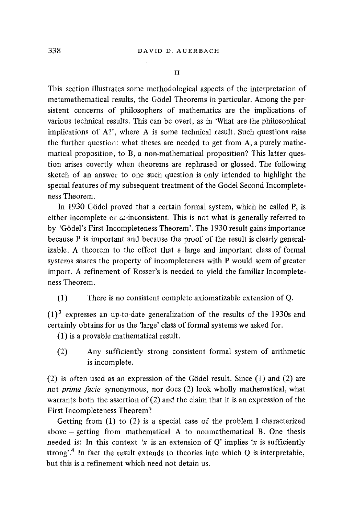This section illustrates some methodological aspects of the interpretation of metamathematical results, the G6del Theorems in particular. Among the persistent concerns of philosophers of mathematics are the implications of various technical results. This can be overt, as in 'What are the philosophical implications of A?', where A is some technical result. Such questions raise the further question: what theses are needed to get from A, a purely mathematical proposition, to B, a non-mathematical proposition? This latter question arises covertly when theorems are rephrased or glossed. The following sketch of an answer to one such question is only intended to highlight the special features of my subsequent treatment of the Gödel Second Incompleteness Theorem.

In 1930 Gödel proved that a certain formal system, which he called P, is either incomplete or  $\omega$ -inconsistent. This is not what is generally referred to by 'G6del's First Incompleteness Theorem'. The 1930 result gains importance because P is important and because the proof of the result is clearly generalizable. A theorem to the effect that a large and important class of formal systems shares the property of incompleteness with P would seem of greater import. A refinement of Rosser's is needed to yield the familiar Incompleteness Theorem.

(1) There is no consistent complete axiomatizable extension of Q.

 $(1)^3$  expresses an up-to-date generalization of the results of the 1930s and certainly obtains for us the 'large' class of formal systems we asked for.

(1) is a provable mathematical result.

(2) Any sufficiently strong consistent formal system of arithmetic is incomplete.

(2) is often used as an expression of the Gödel result. Since  $(1)$  and  $(2)$  are not *prima facie* synonymous, nor does (2) look wholly mathematical, what warrants both the assertion of (2) and the claim that it is an expression of the First Incompleteness Theorem?

Getting from (1) to (2) is a special case of the problem I characterized above - getting from mathematical A to nonmathematical B. One thesis needed is: In this context 'x is an extension of  $Q'$  implies 'x is sufficiently strong'.<sup>4</sup> In fact the result extends to theories into which  $Q$  is interpretable, but this is a refinement which need not detain us.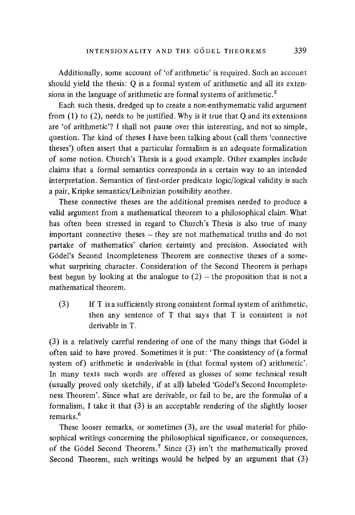Additionally, some account of 'of arithmetic' is required. Such an account should yield the thesis: Q is a formal system of arithmetic and all its extensions in the language of arithmetic are formal systems of arithmetic.<sup>5</sup>

Each such thesis, dredged up to create a non-enthymematic valid argument from (1) to (2), needs to be justified. Why is it true that Q and its extensions are 'of arithmetic'? I shall not pause over this interesting, and not so simple, question. The kind of theses I have been talking about (call them 'connective theses') often assert that a particular formalism is an adequate formalization of some notion. Church's Thesis is a good example. Other examples include claims that a formal semantics corresponds in a certain way to an intended interpretation. Semantics of first-order predicate logic/logical validity is such a pair, Kripke semantics/Leibnizian possibility another.

These connective theses are the additional premises needed to produce a valid argument from a mathematical theorem to a philosophical claim. What has often been stressed in regard to Church's Thesis is also true of many important connective theses – they are not mathematical truths and do not partake of mathematics' clarion certainty and precision. Associated with Gödel's Second Incompleteness Theorem are connective theses of a somewhat surprising character. Consideration of the Second Theorem is perhaps best begun by looking at the analogue to  $(2)$  - the proposition that is not a mathematical theorem.

(3) If T is a sufficiently strong consistent formal system of arithmetic, then any sentence of T that says that T is consistent is not derivable in T.

(3) is a relatively careful rendering of one of the many things that Gödel is often said to have proved. Sometimes it is put: 'The consistency of (a formal system of) arithmetic is underivable in (that formal system of) arithmetic'. In many texts such words are offered as glosses of some technical result (usually proved only sketchily, if at all) labeled 'G6del's Second Incompleteness Theorem'. Since what are derivable, or fail to be, are the formulas of a formalism, I take it that (3) is an acceptable rendering of the slightly looser remarks .6

These looser remarks, or sometimes (3), are the usual material for philosophical writings concerning the philosophical significance, or consequences, of the Gödel Second Theorem.<sup>7</sup> Since (3) isn't the mathematically proved Second Theorem, such writings would be helped by an argument that (3)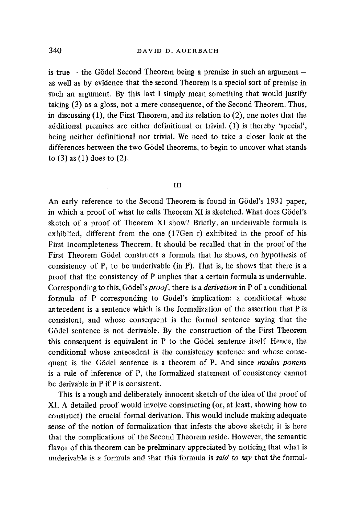is true  $-$  the Gödel Second Theorem being a premise in such an argument  $$ as well as by evidence that the second Theorem is a special sort of premise in such an argument. By this last I simply mean something that would justify taking (3) as a gloss, not a mere consequence, of the Second Theorem. Thus, in discussing (1), the First Theorem, and its relation to (2), one notes that the additional premises are either definitional or trivial. (1) is thereby 'special', being neither definitional nor trivial. We need to take a closer look at the differences between the two Gödel theorems, to begin to uncover what stands to (3) as (1) does to (2).

#### III

An early reference to the Second Theorem is found in Gödel's 1931 paper, in which a proof of what he calls Theorem XI is sketched. What does G6del's sketch of a proof of Theorem XI show? Briefly, an underivable formula is exhibited, different from the one (17Gen r) exhibited in the proof of his First Incompleteness Theorem. It should be recalled that in the proof of the First Theorem G6del constructs a formula that he shows, on hypothesis of consistency of P, to be underivable (in P). That is, he shows that there is a proof that the consistency of P implies that a certain formula is underivable. Corresponding to this, G6del's *proof,* there is a *derivation* in P of a conditional formula of P corresponding to G6del's implication: a conditional whose antecedent is a sentence which is the formalization of the assertion that P is consistent, and whose consequent is the formal sentence saying that the Gödel sentence is not derivable. By the construction of the First Theorem this consequent is equivalent in  $P$  to the Gödel sentence itself. Hence, the conditional whose antecedent is the consistency sentence and whose consequent is the G6del sentence is a theorem of P. And since *modus ponens*  is a rule of inference of P, the formalized statement of consistency cannot be derivable in P if P is consistent.

This is a rough and deliberately innocent sketch of the idea of the proof of XI. A detailed proof would involve constructing (or, at least, showing how to construct) the crucial formal derivation. This would include making adequate sense of the notion of formalization that infests the above sketch; it is here that the complications of the Second Theorem reside. However, the semantic flavor of this theorem can be preliminary appreciated by noticing that what is underivable is a formula and that this formula is *said to say* that the formal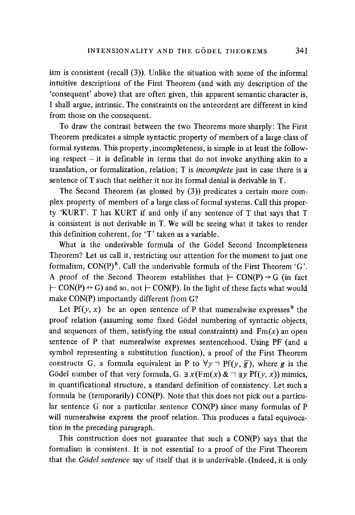ism is consistent (recall (3)). Unlike the situation with some of the informal intuitive descriptions of the First Theorem (and with my description of the 'consequent' above) that are often given, this apparent semantic character is, I shall argue, intrinsic. The constraints on the antecedent are different in kind from those on the consequent.

To draw the contrast between the two Theorems more sharply: The First Theorem predicates a simple syntactic property of members of a large class of formal systems. This property,incompleteness, is simple in at least the following respect  $-$  it is definable in terms that do not invoke anything akin to a translation, or formalization, relation; T is *incomplete* just in case there is a sentence of  $T$  such that neither it nor its formal denial is derivable in  $T$ .

The Second Theorem (as glossed by (3)) predicates a certain more complex property of members of a large class of formal systems. Call this property 'KURT'. T has KURT if and only if any sentence of T that says that T is consistent is not derivable in T. We will be seeing what it takes to render this definition coherent, for 'T' taken as a variable.

What is the underivable formula of the Gödel Second Incompleteness Theorem? Let us call it, restricting our attention for the moment to just one formalism,  $CON(P)^8$ . Call the underivable formula of the First Theorem 'G'. A proof of the Second Theorem establishes that  $[-\text{CON}(P) \rightarrow G$  (in fact  $[-\text{CON}(P) \leftrightarrow G]$  and so, not  $[-\text{CON}(P)$ . In the light of these facts what would make CON(P) importantly different from G?

Let Pf(y, x) be an open sentence of P that numeralwise expresses<sup>9</sup> the proof relation (assuming some fixed G6del numbering of syntactic objects, and sequences of them, satisfying the usual constraints) and  $Fm(x)$  an open sentence of P that numeralwise expresses sentencehood. Using PF (and a symbol representing a substitution function), a proof of the First Theorem constructs G, a formula equivalent in P to  $\forall y \neg P f(y, \overline{g})$ , where g is the Gödel number of that very formula, G.  $\exists x(Fm(x) \& \exists y Pf(y, x))$  mimics, in quantificational structure, a standard definition of consistency. Let such a formula be (temporarily) CON(P). Note that this does not pick out a particular sentence G nor a particular sentence CON(P) since many formulas of P will numeralwise express the proof relation. This produces a fatal equivocation in the preceding paragraph.

This construction does not guarantee that such a CON(P) says that the formalism is consistent. It is not essential to a proof of the First Theorem that the *Gddel sentence* say of itself that it is underivable. (Indeed, it is only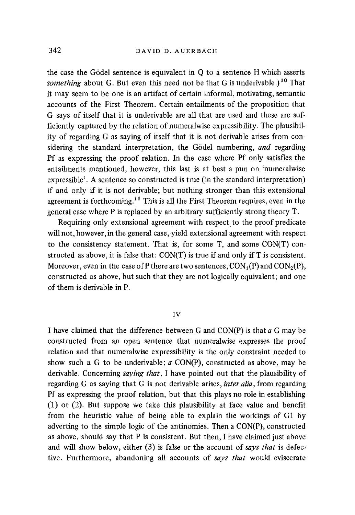the case the Gödel sentence is equivalent in  $O$  to a sentence H which asserts something about G. But even this need not be that G is underivable.)<sup>10</sup> That it may seem to be one is an artifact of certain informal, motivating, semantic accounts of the First Theorem. Certain entailments of the proposition that G says of itself that it is underivable are all that are used and these are sufficiently captured by the relation of numeralwise expressibility. The plausibility of regarding G as saying of itself that it is not derivable arises from considering the standard interpretation, the Gödel numbering, and regarding Pf as expressing the proof relation. In the case where Pf only satisfies the entailments mentioned, however, this last is at best a pun on 'numeralwise expressible'. A sentence so constructed is true (in the standard interpretation) if and only if it is not derivable; but nothing stronger than this extensional agreement is forthcoming.<sup>11</sup> This is all the First Theorem requires, even in the general case where P is replaced by an arbitrary sufficiently strong theory T.

Requiring only extensional agreement with respect to the proof predicate will not, however, in the general case, yield extensional agreement with respect to the consistency statement. That is, for some T, and some CON(T) constructed as above, it is false that: CON(T) is true if and only if T is consistent. Moreover, even in the case of P there are two sentences,  $CON_1(P)$  and  $CON_2(P)$ , constructed as above, but such that they are not logically equivalent; and one of them is derivable in P.

## IV

I have claimed that the difference between G and  $CON(P)$  is that  $a$  G may be constructed from an open sentence that numeralwise expresses the proof relation and that numeralwise expressibility is the only constraint needed to show such a G to be underivable;  $a$  CON(P), constructed as above, may be derivable. Concerning *saying that,* I have pointed out that the plausibility of regarding G as saying that G is not derivable arises, *inter alia,* from regarding Pf as expressing the proof relation, but that this plays no role in establishing (1) or (2). But suppose we take this plausibility at face value and benefit from the heuristic value of being able to explain the workings of G1 by adverting to the simple logic of the antinomies. Then a CON(P), constructed as above, should say that P is consistent. But then, I have claimed just above and will show below, either (3) is false or the account of *says that* is defective. Furthermore, abandoning all accounts of *says that* would eviscerate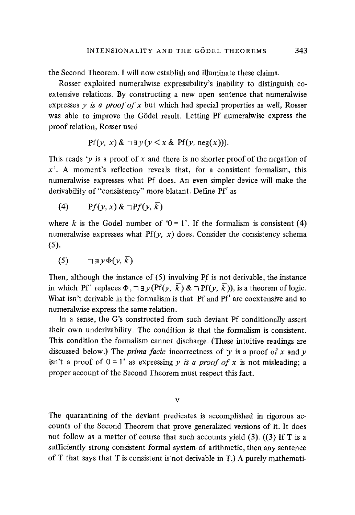the Second Theorem. I will now establish and illuminate these claims.

Rosser exploited numeralwise expressibility's inability to distinguish coextensive relations. By constructing a new open sentence that numeralwise expresses *y is a proof of x* but which had special properties as well, Rosser was able to improve the Gödel result. Letting Pf numeralwise express the proof relation, Rosser used

$$
Pf(y, x) \& \exists y (y < x \& Pf(y, neg(x))).
$$

This reads 'y is a proof of x and there is no shorter proof of the negation of  $x'$ . A moment's reflection reveals that, for a consistent formalism, this numeralwise expresses what Pf does. An even simpler device will make the derivability of "consistency" more blatant. Define Pf' as

(4)  $Pf(v, x) \& \exists Pf(v, \overline{k})$ 

where k is the Gödel number of '0 = 1'. If the formalism is consistent (4) numeralwise expresses what  $Pf(y, x)$  does. Consider the consistency schema (5).

(5)  $\qquad \exists \exists y \Phi(y, \overline{k})$ 

Then, although the instance of  $(5)$  involving Pf is not derivable, the instance in which Pf' replaces  $\Phi$ ,  $\neg \exists y(Pf(y, \overline{k}) \& \neg Pf(y, \overline{k}))$ , is a theorem of logic. What isn't derivable in the formalism is that Pf and Pf' are coextensive and so numeralwise express the same relation.

In a sense, the G's constructed from such deviant Pf conditionally assert their own underivability. The condition is that the formalism is consistent. This condition the formalism cannot discharge. (These intuitive readings are discussed below.) The *prima facie* incorrectness of  $\gamma$  is a proof of x and y isn't a proof of  $0 = 1$ ' as expressing *y is a proof of x* is not misleading; a proper account of the Second Theorem must respect this fact.

V

The quarantining of the deviant predicates is accomplished in rigorous accounts of the Second Theorem that prove generalized versions of it. It does not follow as a matter of course that such accounts yield (3). ((3) If T is a sufficiently strong consistent formal system of arithmetic, then any sentence of T that says that T is consistent is not derivable in T.) A purely mathemati-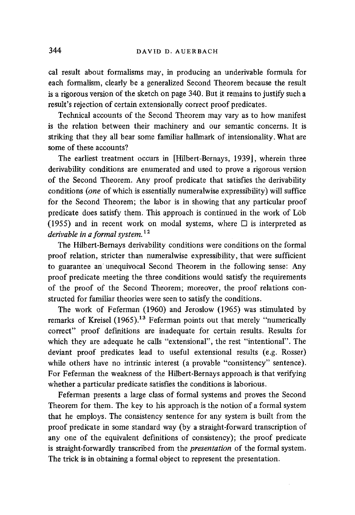cal result about formalisms may, in producing an underivable formula for each formalism, clearly be a generalized Second Theorem because the result is a rigorous version of the sketch on page 340. But it remains to justify such a result's rejection of certain extensionally correct proof predicates.

Technical accounts of the Second Theorem may vary as to how manifest is the relation between their machinery and our semantic concerns. It is striking that they all bear some familiar hallmark of intensionality. What are some of these accounts?

The earliest treatment occurs in [Hilbert-Bernays, 1939], wherein three derivability conditions are enumerated and used to prove a rigorous version of the Second Theorem. Any proof predicate that satisfies the derivability conditions *(one* of which is essentially numeralwise expressibility) will suffice for the Second Theorem; the labor is in showing that any particular proof predicate does satisfy them. This approach is continued in the work of L6b (1955) and in recent work on modal systems, where  $\Box$  is interpreted as *derivable in a formal system. 12* 

The Hilbert-Bernays derivability conditions were conditions on the formal proof relation, stricter than numeralwise expressibility, that were sufficient to guarantee an unequivocal Second Theorem in the following sense: Any proof predicate meeting the three conditions would satisfy the requirements of the proof of the Second Theorem; moreover, the proof relations constructed for familiar theories were seen to satisfy the conditions.

The work of Feferman (1960) and Jeroslow (1965) was stimulated by remarks of Kreisel  $(1965)$ .<sup>13</sup> Feferman points out that merely "numerically correct" proof definitions are inadequate for certain results. Results for which they are adequate he calls "extensional", the rest "intentional". The deviant proof predicates lead to useful extensional results (e.g. Rosser) while others have no intrinsic interest (a provable "consistency" sentence). For Feferman the weakness of the Hilbert-Bernays approach is that verifying whether a particular predicate satisfies the conditions is laborious.

Feferman presents a large class of formal systems and proves the Second Theorem for them. The key to his approach is the notion of a formal system that he employs. The consistency sentence for any system is built from the proof predicate in some standard way (by a straight-forward transcription of any one of the equivalent definitions of consistency); the proof predicate is straight-forwardly transcribed from the *presentation* of the formal system. The trick is in obtaining a formal object to represent the presentation.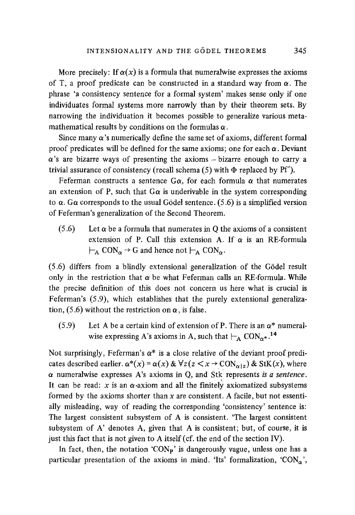More precisely: If  $\alpha(x)$  is a formula that numeralwise expresses the axioms of T, a proof predicate can be constructed in a standard way from  $\alpha$ . The phrase 'a consistency sentence for a formal system' makes sense only if one individuates formal systems more narrowly than by their theorem sets. By narrowing the individuation it becomes possible to generalize various metamathematical results by conditions on the formulas  $\alpha$ .

Since many  $\alpha$ 's numerically define the same set of axioms, different formal proof predicates will be defined for the same axioms; one for each  $\alpha$ . Deviant  $\alpha$ 's are bizarre ways of presenting the axioms - bizarre enough to carry a trivial assurance of consistency (recall schema  $(5)$  with  $\Phi$  replaced by Pf').

Feferman constructs a sentence  $G\alpha$ , for each formula  $\alpha$  that numerates an extension of P, such that  $G\alpha$  is underivable in the system corresponding to  $\alpha$ . G $\alpha$  corresponds to the usual Gödel sentence. (5.6) is a simplified version of Feferman's generalization of the Second Theorem.

(5.6) Let  $\alpha$  be a formula that numerates in O the axioms of a consistent extension of P. Call this extension A. If  $\alpha$  is an RE-formula  $\vdash_{A} \text{CON}_{\alpha} \rightarrow G$  and hence not  $\vdash_{A} \text{CON}_{\alpha}$ .

(5.6) differs from a blindly extensional generalization of the G6del result only in the restriction that  $\alpha$  be what Feferman calls an RE-formula. While the precise definition of this does not concern us here what is crucial is Feferman's (5.9), which establishes that the purely extensional generalization, (5.6) without the restriction on  $\alpha$ , is false.

(5.9) Let A be a certain kind of extension of P. There is an  $\alpha^*$  numeralwise expressing A's axioms in A, such that  $\vdash_{A} \text{CON}_{\alpha^{*}}$ .<sup>14</sup>

Not surprisingly, Feferman's  $\alpha^*$  is a close relative of the deviant proof predicates described earlier.  $\alpha^*(x) = \alpha(x) \& \forall z (z \leq x \rightarrow \text{CON}_{\alpha|z}) \& \text{StK}(x)$ , where a numeralwise expresses A's axioms in Q, and Stk represents *is a sentence.*  It can be read: x is an  $\alpha$ -axiom and all the finitely axiomatized subsystems formed by the axioms shorter than  $x$  are consistent. A facile, but not essentially misleading, way of reading the corresponding 'consistency' sentence is: The largest consistent subsystem of A is consistent. 'The largest consistent subsystem of A' denotes A, given that A is consistent; but, of course, it is just this fact that is not given to A itself (cf. the end of the section IV).

In fact, then, the notation ' $\text{CON}_P$ ' is dangerously vague, unless one has a particular presentation of the axioms in mind. 'Its' formalization, 'CON<sub>a</sub>',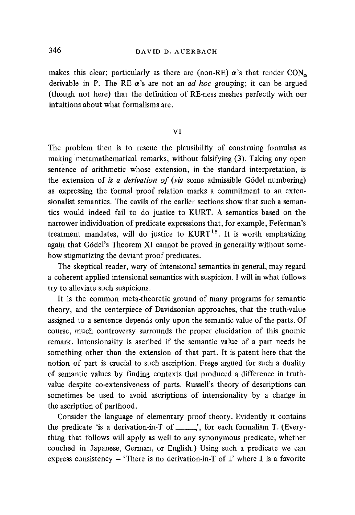makes this clear; particularly as there are (non-RE)  $\alpha$ 's that render CON<sub> $\alpha$ </sub> derivable in P. The RE a's are not an *ad hoc* grouping; it can be argued (though not here) that the definition of RE-ness meshes perfectly with our intuitions about what formalisms are.

### VI

The problem then is to rescue the plausibility of construing formulas as making metamathematical remarks, without falsifying (3). Taking any open sentence of arithmetic whose extension, in the standard interpretation, is the extension of *is a derivation of (via* some admissible Gödel numbering) as expressing the formal proof relation marks a commitment to an extensionalist semantics. The cavils of the earlier sections show that such a semantics would indeed fail to do justice to KURT. A semantics based on the narrower individuation of predicate expressions that, for example, Feferman's treatment mandates, will do justice to  $KURT<sup>15</sup>$ . It is worth emphasizing again that Gödel's Theorem XI cannot be proved in generality without somehow stigmatizing the deviant proof predicates.

The skeptical reader, wary of intensional semantics in general, may regard a coherent applied intensional semantics with suspicion. I will in what follows try to alleviate such suspicions.

It is the common meta-theoretic ground of many programs for semantic theory, and the centerpiece of Davidsonian approaches, that the truth-value assigned to a sentence depends only upon the semantic value of the parts. Of course, much controversy surrounds the proper elucidation of this gnomic remark. Intensionality is ascribed if the semantic value of a part needs be something other than the extension of that part. It is patent here that the notion of part is crucial to such ascription. Frege argued for such a duality of semantic values by finding contexts that produced a difference in truthvalue despite co-extensiveness of parts. Russell's theory of descriptions can sometimes be used to avoid ascriptions of intensionality by a change in the ascription of parthood.

Consider the language of elementary proof theory. Evidently it contains the predicate 'is a derivation-in-T of  $\_\_\_\$ , for each formalism T. (Everything that follows will apply as well to any synonymous predicate, whether couched in Japanese, German, or English.) Using such a predicate we can express consistency - 'There is no derivation-in-T of  $\perp$ ' where  $\perp$  is a favorite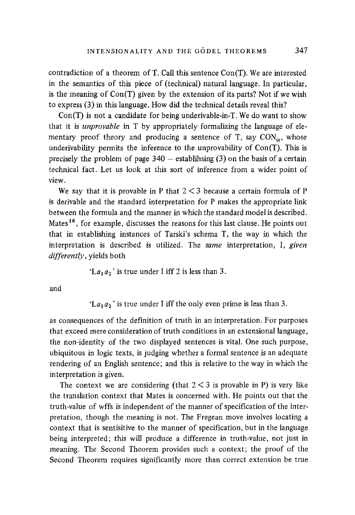contradiction of a theorem of T. Call this sentence Con(T). We are interested in the semantics of this piece of (technical) natural language. In particular, is the meaning of Con(T) given by the extension of its parts? Not if we wish to express (3) in this language. How did the technical details reveal this?

Con(T) is not a candidate for being underivable-in-T. We do want to show that it is *unprovable* in T by appropriately formalizing the language of elementary proof theory and producing a sentence of T, say  $CON_{\alpha}$ , whose underivability permits the inference to the unprovability of Con(T). This is precisely the problem of page  $340 -$  establihsing (3) on the basis of a certain technical fact. Let us look at this sort of inference from a wider point of view.

We say that it is provable in P that  $2 < 3$  because a certain formula of P is derivable and the standard interpretation for P makes the appropriate link between the formula and the manner in which the standard model is described. Mates 16, for example, discusses the reasons for this last clause. He points out that in establishing instances of Tarski's schema T, the way in which the interpretation is described is utilized. The *same* interpretation, I, *given differently,* yields both

$$
La_1a_2
$$
 is true under I iff 2 is less than 3.

and

'La<sub>1</sub>a<sub>2</sub>' is true under I iff the only even prime is less than 3.

as consequences of the definition of truth in an interpretation. For purposes that exceed mere consideration of truth conditions in an extensional language, the non-identity of the two displayed sentences is vital. One such purpose, ubiquitous in logic texts, is judging whether a formal sentence is an adequate rendering of an English sentence; and this is relative to the way in which the interpretation is given.

The context we are considering (that  $2 < 3$  is provable in P) is very like the translation context that Mates is concerned with. He points out that the truth-value of wffs is independent of the manner of specification of the interpretation, though the meaning is not. The Fregean move involves locating a context that is sentisitive to the manner of specification, but in the language being interpreted; this will produce a difference in truth-value, not just in meaning. The Second Theorem provides such a context; the proof of the Second Theorem requires significantly more than correct extension be true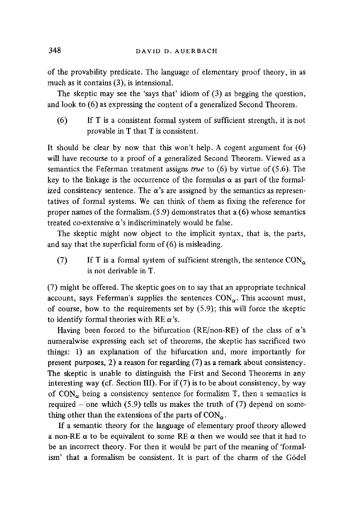of the provability predicate. The language of elementary proof theory, in as much as it contains (3), is intensional.

The skeptic may see the 'says that' idiom of (3) as begging the question, and look to (6) as expressing the content of a generalized Second Theorem.

(6) If T is a consistent formal system of sufficient strength, it is not provable in T that T is consistent.

It should be clear by now that this won't help. A cogent argument for (6) will have recourse to a proof of a generalized Second Theorem. Viewed as a semantics the Feferman treatment assigns true to  $(6)$  by virtue of  $(5.6)$ . The key to the linkage is the occurrence of the formulas  $\alpha$  as part of the formalized consistency sentence. The  $\alpha$ 's are assigned by the semantics as representatives of formal systems. We can think of them as fixing the reference for proper names of the formalism. (5.9) demonstrates that a (6) whose semantics treated co-extensive  $\alpha$ 's indiscriminately would be false.

The skeptic might now object to the implicit syntax, that is, the parts, and say that the superficial form of (6) is misleading.

(7) If T is a formal system of sufficient strength, the sentence  $CON_{\alpha}$ is not derivable in T.

(7) might be offered. The skeptic goes on to say that an appropriate technical account, says Feferman's supplies the sentences  $CON_{\alpha}$ . This account must, of course, bow to the requirements set by  $(5.9)$ ; this will force the skeptic to identify formal theories with RE  $\alpha$ 's.

Having been forced to the bifurcation (RE/non-RE) of the class of  $\alpha$ 's numeralwise expressing each set of theorems, the skeptic has sacrificed two things: 1) an explanation of the bifurcation and, more importantly for present purposes, 2) a reason for regarding (7) as a remark about consistency. The skeptic is unable to distinguish the First and Second Theorems in any interesting way (cf. Section III). For if(7) is to be about consistency, by way of CON<sub> $\alpha$ </sub> being a consistency sentence for formalism T, then a semantics is required - one which (5.9) tells us makes the truth of (7) depend on something other than the extensions of the parts of  $CON_{\alpha}$ .

If a semantic theory for the language of elementary proof theory allowed **a** non-RE  $\alpha$  to be equivalent to some RE  $\alpha$  then we would see that it had to be an incorrect theory. For then it would be part of the meaning of 'formalism' that a formalism be consistent. It is part of the charm of the Gödel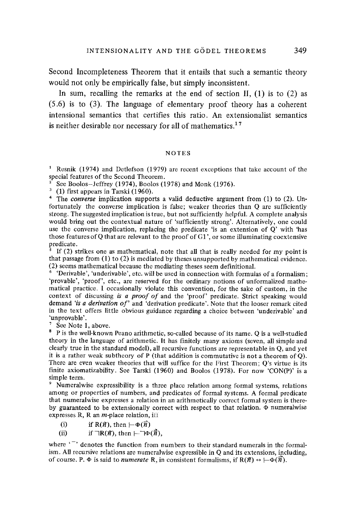Second Incompleteness Theorem that it entails that such a semantic theory would not only be empirically false, but simply inconsistent.

In sum, recalling the remarks at the end of section II,  $(1)$  is to  $(2)$  as (5.6) is to (3). The language of elementary proof theory has a coherent intensional semantics that certifies this ratio. An extensionalist semantics is neither desirable nor necessary for all of mathematics.<sup>17</sup>

### NOTES

<sup>1</sup> Resnik (1974) and Detlefson (1979) are recent exceptions that take account of the special features of the Second Theorem.

See Boolos-Jeffrey (1974), Boolos (1978) and Monk (1976).

 $3$  (1) first appears in Tarski (1960).

4 The *converse* implication supports a valid deductive argument from (1) to (2). Unfortunately the converse implication is false; weaker theories than Q are sufficiently strong. The suggested implication is true, but not sufficiently helpful. A complete analysis would bring out the contextual nature of 'sufficiently strong'. Alternatively, one could use the converse implication, replacing the predicate 'is an extension of  $Q'$  with 'has those features of Q that are relevant to the proof of G1 ', or some illuminating coextensive predicate.

If  $(2)$  strikes one as mathematical, note that all that is really needed for my point is that passage from (1) to (2) is mediated by theses unsupported by mathematical evidence. (2) seems mathematical because the mediating theses seem definitional.

6 'Derivable', 'underivable', etc. will be used in connection with formulas of a formalism; 'provable', 'proof', etc., are reserved for the ordinary notions of unformalized mathematical practice. I occasionally violate this convention, for the sake of custom, in the context of discussing *is a proof of* and the 'proof' predicate. Strict speaking would demand *'is a derivation of'* and 'derivation predicate'. Note that the looser remark cited in the text offers little obvious guidance regarding a choice between 'underivable' and 'unprovable'.

7 See Note 1, above.

P is the well-known Peano arithmetic, so-called because of its name. Q is a well-studied theory in the language of arithmetic. It has finitely many axioms (seven, all simple and clearly true in the standard model), all recursive functions are representable in Q, and yet it is a rather weak subtheory of P (that addition is commutative is not a theorem of Q). There are even weaker theories that will suffice for the First Theorem; Q's virtue is its finite axiomatizability. See Tarski (1960) and Boolos (1978). For now 'CON(P)' is a simple term.

Numeralwise expressibility is a three place relation among formal systems, relations among or properties of numbers, and predicates of formal systems. A formal predicate that numeralwise expresses a relation in an arithmetically correct formal system is thereby guaranteed to be extensionally correct with respect to that relation.  $\Phi$  numeralwise expresses R, R an  $m$ -place relation, iff

- (i) if  $R(\vec{n})$ , then  $\mapsto \Phi(\vec{\overline{n}})$
- (ii) if  $\neg R(\vec{n})$ , then  $\neg \neg \Phi(\vec{n})$ ,

where  $\cdot$ <sup>--</sup> denotes the function from numbers to their standard numerals in the formalism. All recursive relations are numeralwise expressible in  $Q$  and its extensions, including, of course. P.  $\Phi$  is said to *numerate* R, in consistent formalisms, if  $R(\vec{n}) \leftrightarrow \leftarrow \Phi(\vec{n})$ .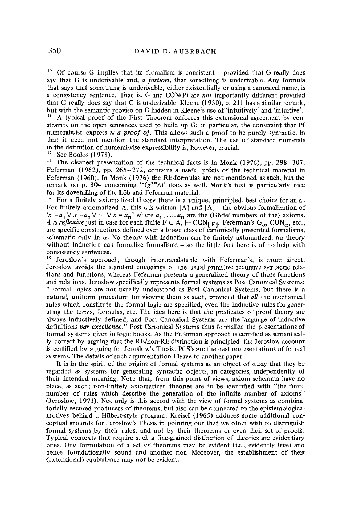$10$  Of course G implies that its formalism is consistent – provided that G really does say that G is underivable and, *a fortiori*, that something is underivable. Any formula that says that something is underivable, either existentially or using a canonical name, is a consistency sentence. That is, G and CON(P) are *not* importantly different provided that G really does say that G is underivable. Kleene (1950), p. 211 has a similar remark, but with the semantic proviso on G hidden in Kleene's use of 'intuitively' and 'intuitive'.

 $11$  A typical proof of the First Theorem enforces this extensional agreement by constraints on the open sentences used to build up G; in particular, the constraint that Pf numeralwise express *is a proof of.* This allows such a proof to be purely syntactic, in that it need not mention the standard interpretation. The use of standard numerals in the definition of numeralwise expressibility is, however, crucial.

12 See Boolos (1978).

<sup>13</sup> The cleanest presentation of the technical facts is in Monk (1976), pp. 298-307. Feferman (1962), pp. 265-272, contains a useful précis of the technical material in Feferman (1960). In Monk (1976) the RE-formulas are not mentioned as such, but the remark on p. 304 concerning " $(g^{**}\Delta)$ " does as well. Monk's text is particularly nice for its dovetailing of the Löb and Feferman material.

<sup>14</sup> For a finitely axiomatized theory there is a unique, principled, best choice for an  $\alpha$ . For finitely axiomatized A, this  $\alpha$  is written [A] and [A] = the obvious formalization of  $x = a_1 \vee x = a_2 \vee \cdots \vee x = x_n'$  where  $a_1, \ldots, a_n$  are the (Gödel numbers of the) axioms. *A is reflexive* just in case for each finite  $F \subset A$ ,  $\vdash$  CON<sub>I F1</sub>. Feferman's  $G_{\alpha}$ , CON<sub> $\alpha$ </sub>, etc., are specific constructions defined over a broad class of canonically presented formalisms, schematic only in  $\alpha$ . No theory with induction can be finitely axiomatized, no theory without induction can formalize formalisms - so the little fact here is of no help with consistency sentences.

<sup>15</sup> Jeroslow's approach, though intertranslatable with Feferman's, is more direct. Jeroslow avoids the standard encodings of the usual primitive recursive syntactic relations and functions, whereas Feferman presents a generalized theory of those functions and relations. Jeroslow specifically represents formal systems as Post Canonical Systems: "Formal logics are not usually understood as Post Canonical Systems, but there is a natural, uniform procedure for viewing them as such, provided that *all* the mechanical rules which constitute the formal logic are specified, even the inductive rules for generating the terms, formulas, etc. The idea here is that the predicates of proof theory are always inductively defined, and Post Canonical Systems are the language of inductive definitions *par excellence."* Post Canonical Systems thus formalize the presentations of tormal systems given in logic books. As the Feferman approach is certified as semantically correct by arguing that the RE/non-RE distinction is principled, the Jeroslow account is certified by arguing for Jeroslow's Thesis: PCS's are the best representations of formal systems. The details of such argumentation I leave to another paper.

It is in the spirit of the origins of formal systems as an object of study that they be regarded as systems for generating syntactic objects, in categories, independently of their intended meaning. Note that, from this point of views, axiom schemata have no place, as such; non-finitely axiomatized theories are to be identified with "the finite number of rules which describe the generation of the infinite number of axioms" (Jeroslow, 1971). Not only is this accord with the view of formal systems as combinatorially secured producers of theorems, but also can be connected to the epistemological motives behind a Hilbert-style program. Kreisel (1965) adduces some additional conceptual grounds for Jeroslow's Thesis in pointing out that we often wish to distinguish formal systems by their rules, and not by their theorems or even their set of proofs. Typical contexts that require such a fine-grained distinction of theories are evidentiary ones. One formulation of a set of theorems may be evident (i.e., evidently true) and hence foundationally sound and another not. Moreover, the establishment of their (extensional) equivalence may not be evident.